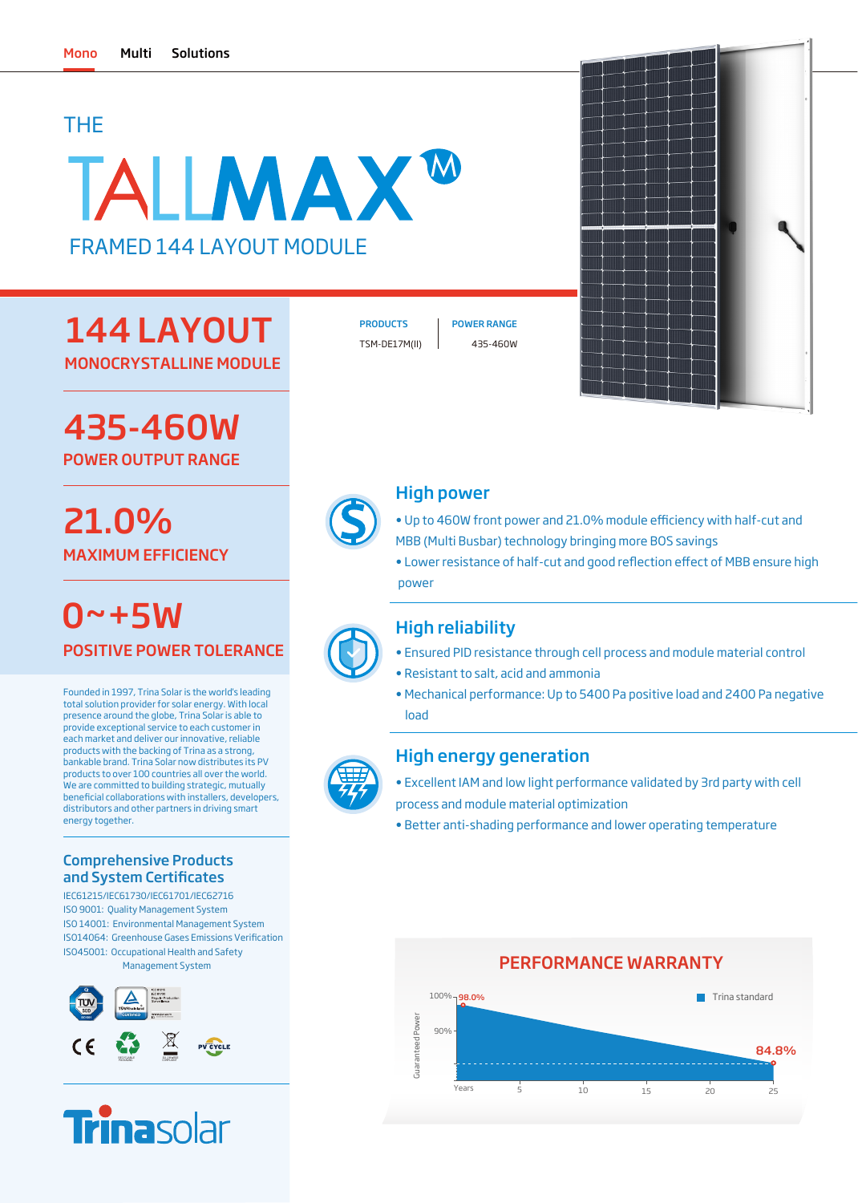### THE

# TALLMAX<sup>W</sup> FRAMED 144 LAYOUT MODULE

## 144 LAYOUT MONOCRYSTALLINE MODULE

435-460W

POWER OUTPUT RANGE

## 21.0% MAXIMUM EFFICIENCY

POSITIVE POWER TOLERANCE  $0 - + 5W$ 

Founded in 1997, Trina Solar is the world's leading total solution provider for solar energy. With local presence around the globe, Trina Solar is able to provide exceptional service to each customer in each market and deliver our innovative, reliable products with the backing of Trina as a strong, bankable brand. Trina Solar now distributes its PV products to over 100 countries all over the world. We are committed to building strategic, mutually beneficial collaborations with installers, developers, distributors and other partners in driving smart energy together.

### Comprehensive Products and System Certificates

IEC61215/IEC61730/IEC61701/IEC62716 ISO 9001: Quality Management System ISO 14001: Environmental Management System ISO45001: Occupational Health and Safety Management System ISO14064: Greenhouse Gases Emissions Verification





TSM-DE17M(II) 435-460W

PRODUCTS | POWER RANGE



### High power

- Up to 460W front power and 21.0% module efficiency with half-cut and MBB (Multi Busbar) technology bringing more BOS savings
- Lower resistance of half-cut and good reflection effect of MBB ensure high power

### High reliability

- Ensured PID resistance through cell process and module material control
- Resistant to salt, acid and ammonia
- Mechanical performance: Up to 5400 Pa positive load and 2400 Pa negative load

### High energy generation

- Excellent IAM and low light performance validated by 3rd party with cell process and module material optimization
- Better anti-shading performance and lower operating temperature